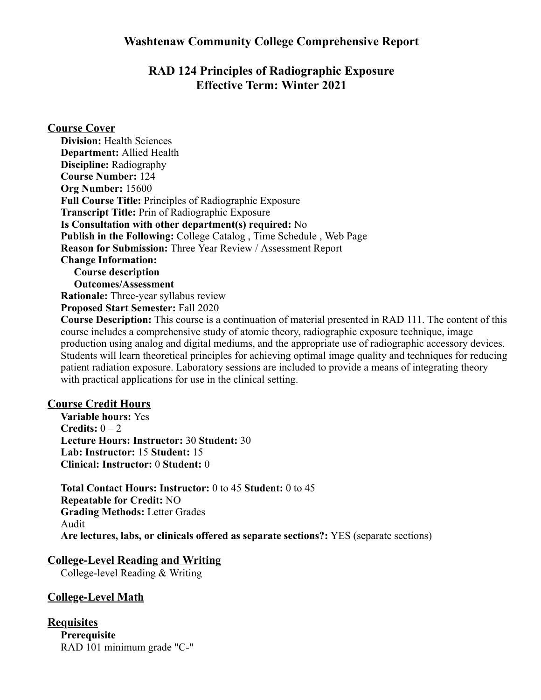# **Washtenaw Community College Comprehensive Report**

# **RAD 124 Principles of Radiographic Exposure Effective Term: Winter 2021**

#### **Course Cover**

**Division:** Health Sciences **Department:** Allied Health **Discipline:** Radiography **Course Number:** 124 **Org Number:** 15600 **Full Course Title:** Principles of Radiographic Exposure **Transcript Title:** Prin of Radiographic Exposure **Is Consultation with other department(s) required:** No **Publish in the Following:** College Catalog , Time Schedule , Web Page **Reason for Submission:** Three Year Review / Assessment Report **Change Information: Course description Outcomes/Assessment Rationale:** Three-year syllabus review **Proposed Start Semester:** Fall 2020 **Course Description:** This course is a continuation of material presented in RAD 111. The content of this

course includes a comprehensive study of atomic theory, radiographic exposure technique, image production using analog and digital mediums, and the appropriate use of radiographic accessory devices. Students will learn theoretical principles for achieving optimal image quality and techniques for reducing patient radiation exposure. Laboratory sessions are included to provide a means of integrating theory with practical applications for use in the clinical setting.

### **Course Credit Hours**

**Variable hours:** Yes **Credits:**  $0-2$ **Lecture Hours: Instructor:** 30 **Student:** 30 **Lab: Instructor:** 15 **Student:** 15 **Clinical: Instructor:** 0 **Student:** 0

**Total Contact Hours: Instructor:** 0 to 45 **Student:** 0 to 45 **Repeatable for Credit:** NO **Grading Methods:** Letter Grades Audit **Are lectures, labs, or clinicals offered as separate sections?:** YES (separate sections)

#### **College-Level Reading and Writing**

College-level Reading & Writing

## **College-Level Math**

```
Requisites
Prerequisite
RAD 101 minimum grade "C-"
```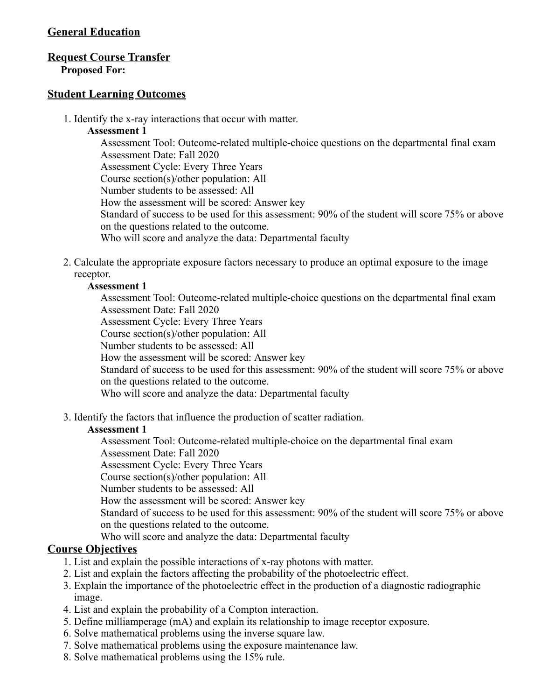## **General Education**

## **Request Course Transfer**

**Proposed For:**

### **Student Learning Outcomes**

1. Identify the x-ray interactions that occur with matter.

#### **Assessment 1**

Assessment Tool: Outcome-related multiple-choice questions on the departmental final exam Assessment Date: Fall 2020 Assessment Cycle: Every Three Years Course section(s)/other population: All Number students to be assessed: All How the assessment will be scored: Answer key Standard of success to be used for this assessment: 90% of the student will score 75% or above on the questions related to the outcome. Who will score and analyze the data: Departmental faculty

2. Calculate the appropriate exposure factors necessary to produce an optimal exposure to the image receptor.

### **Assessment 1**

Assessment Tool: Outcome-related multiple-choice questions on the departmental final exam Assessment Date: Fall 2020 Assessment Cycle: Every Three Years

Course section(s)/other population: All

Number students to be assessed: All

How the assessment will be scored: Answer key

Standard of success to be used for this assessment: 90% of the student will score 75% or above on the questions related to the outcome.

Who will score and analyze the data: Departmental faculty

3. Identify the factors that influence the production of scatter radiation.

#### **Assessment 1**

Assessment Tool: Outcome-related multiple-choice on the departmental final exam

Assessment Date: Fall 2020

Assessment Cycle: Every Three Years

Course section(s)/other population: All

Number students to be assessed: All

How the assessment will be scored: Answer key

Standard of success to be used for this assessment: 90% of the student will score 75% or above on the questions related to the outcome.

Who will score and analyze the data: Departmental faculty

## **Course Objectives**

- 1. List and explain the possible interactions of x-ray photons with matter.
- 2. List and explain the factors affecting the probability of the photoelectric effect.
- 3. Explain the importance of the photoelectric effect in the production of a diagnostic radiographic image.
- 4. List and explain the probability of a Compton interaction.
- 5. Define milliamperage (mA) and explain its relationship to image receptor exposure.
- 6. Solve mathematical problems using the inverse square law.
- 7. Solve mathematical problems using the exposure maintenance law.
- 8. Solve mathematical problems using the 15% rule.